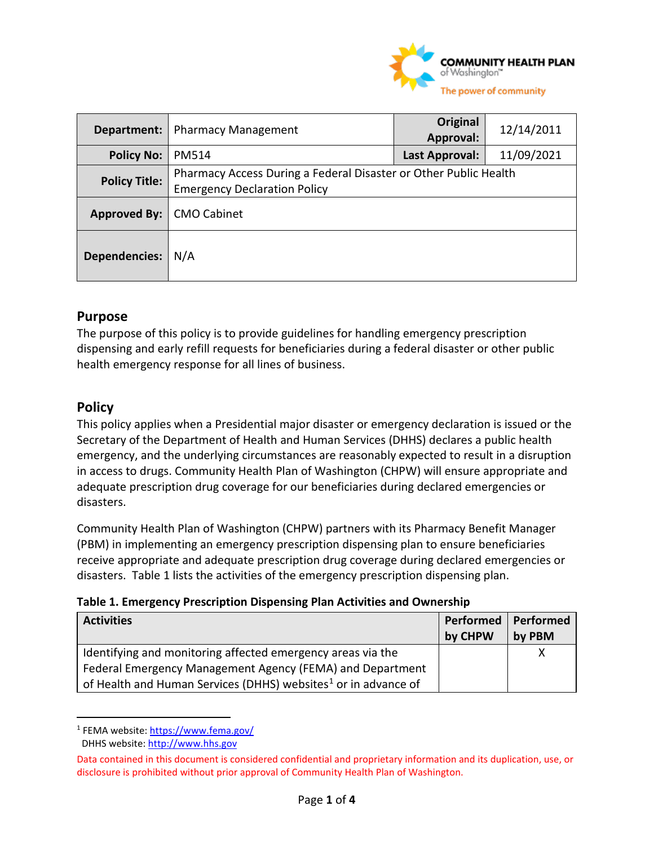

| Department:          | <b>Pharmacy Management</b>                                                                              | Original<br>Approval: | 12/14/2011 |
|----------------------|---------------------------------------------------------------------------------------------------------|-----------------------|------------|
| <b>Policy No:</b>    | <b>PM514</b>                                                                                            | Last Approval:        | 11/09/2021 |
| <b>Policy Title:</b> | Pharmacy Access During a Federal Disaster or Other Public Health<br><b>Emergency Declaration Policy</b> |                       |            |
| Approved By:         | <b>CMO Cabinet</b>                                                                                      |                       |            |
| <b>Dependencies:</b> | N/A                                                                                                     |                       |            |

## **Purpose**

The purpose of this policy is to provide guidelines for handling emergency prescription dispensing and early refill requests for beneficiaries during a federal disaster or other public health emergency response for all lines of business.

## **Policy**

This policy applies when a Presidential major disaster or emergency declaration is issued or the Secretary of the Department of Health and Human Services (DHHS) declares a public health emergency, and the underlying circumstances are reasonably expected to result in a disruption in access to drugs. Community Health Plan of Washington (CHPW) will ensure appropriate and adequate prescription drug coverage for our beneficiaries during declared emergencies or disasters.

Community Health Plan of Washington (CHPW) partners with its Pharmacy Benefit Manager (PBM) in implementing an emergency prescription dispensing plan to ensure beneficiaries receive appropriate and adequate prescription drug coverage during declared emergencies or disasters. Table 1 lists the activities of the emergency prescription dispensing plan.

|  |  |  |  |  |  | Table 1. Emergency Prescription Dispensing Plan Activities and Ownership |
|--|--|--|--|--|--|--------------------------------------------------------------------------|
|--|--|--|--|--|--|--------------------------------------------------------------------------|

| <b>Activities</b>                                                          | Performed | Performed |
|----------------------------------------------------------------------------|-----------|-----------|
|                                                                            | by CHPW   | by PBM    |
| Identifying and monitoring affected emergency areas via the                |           |           |
| Federal Emergency Management Agency (FEMA) and Department                  |           |           |
| of Health and Human Services (DHHS) websites <sup>1</sup> or in advance of |           |           |

<span id="page-0-0"></span><sup>1</sup> FEMA website: https://www.fema.gov/

DHHS website: [http://www.hhs.gov](http://www.hhs.gov/)

Data contained in this document is considered confidential and proprietary information and its duplication, use, or disclosure is prohibited without prior approval of Community Health Plan of Washington.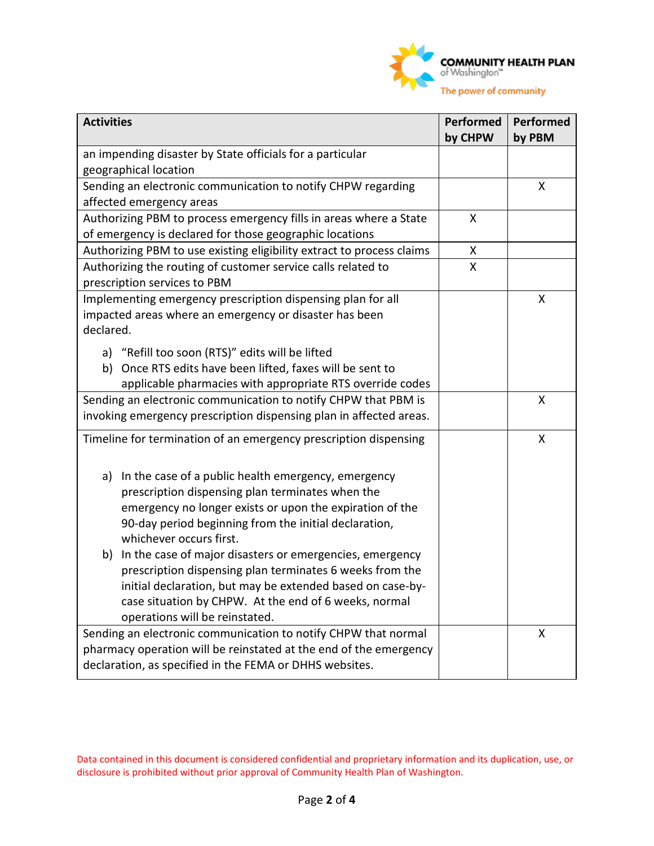

| <b>Activities</b>                                                                                                                                                                                                                                                                   | Performed<br>by CHPW | <b>Performed</b><br>by PBM |
|-------------------------------------------------------------------------------------------------------------------------------------------------------------------------------------------------------------------------------------------------------------------------------------|----------------------|----------------------------|
| an impending disaster by State officials for a particular                                                                                                                                                                                                                           |                      |                            |
| geographical location                                                                                                                                                                                                                                                               |                      |                            |
| Sending an electronic communication to notify CHPW regarding                                                                                                                                                                                                                        |                      | X                          |
| affected emergency areas                                                                                                                                                                                                                                                            |                      |                            |
| Authorizing PBM to process emergency fills in areas where a State                                                                                                                                                                                                                   | X                    |                            |
| of emergency is declared for those geographic locations                                                                                                                                                                                                                             |                      |                            |
| Authorizing PBM to use existing eligibility extract to process claims                                                                                                                                                                                                               | X                    |                            |
| Authorizing the routing of customer service calls related to<br>prescription services to PBM                                                                                                                                                                                        | X                    |                            |
| Implementing emergency prescription dispensing plan for all<br>impacted areas where an emergency or disaster has been<br>declared.                                                                                                                                                  |                      | X                          |
| a) "Refill too soon (RTS)" edits will be lifted<br>b) Once RTS edits have been lifted, faxes will be sent to<br>applicable pharmacies with appropriate RTS override codes                                                                                                           |                      |                            |
| Sending an electronic communication to notify CHPW that PBM is<br>invoking emergency prescription dispensing plan in affected areas.                                                                                                                                                |                      | X                          |
| Timeline for termination of an emergency prescription dispensing                                                                                                                                                                                                                    |                      | X                          |
| In the case of a public health emergency, emergency<br>a)<br>prescription dispensing plan terminates when the<br>emergency no longer exists or upon the expiration of the<br>90-day period beginning from the initial declaration,<br>whichever occurs first.                       |                      |                            |
| In the case of major disasters or emergencies, emergency<br>b)<br>prescription dispensing plan terminates 6 weeks from the<br>initial declaration, but may be extended based on case-by-<br>case situation by CHPW. At the end of 6 weeks, normal<br>operations will be reinstated. |                      |                            |
| Sending an electronic communication to notify CHPW that normal<br>pharmacy operation will be reinstated at the end of the emergency<br>declaration, as specified in the FEMA or DHHS websites.                                                                                      |                      | X                          |

Data contained in this document is considered confidential and proprietary information and its duplication, use, or disclosure is prohibited without prior approval of Community Health Plan of Washington.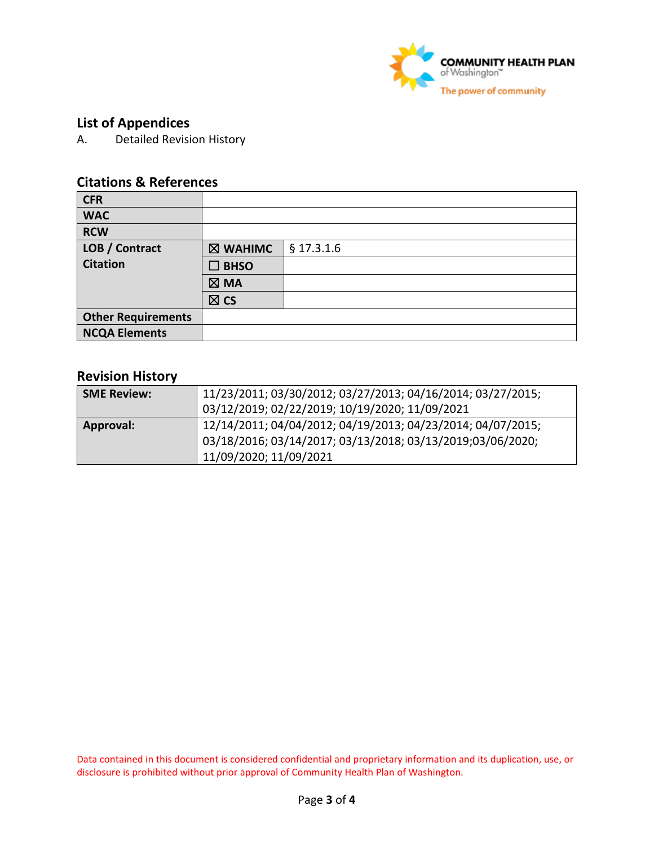

# **List of Appendices**

A. Detailed Revision History

# **Citations & References**

| <b>CFR</b>                |                |              |
|---------------------------|----------------|--------------|
| <b>WAC</b>                |                |              |
| <b>RCW</b>                |                |              |
| LOB / Contract            | ⊠ WAHIMC       | $§$ 17.3.1.6 |
| <b>Citation</b>           | <b>BHSO</b>    |              |
|                           | $\boxtimes$ MA |              |
|                           | $\boxtimes$ CS |              |
| <b>Other Requirements</b> |                |              |
| <b>NCQA Elements</b>      |                |              |

#### **Revision History**

| <b>SME Review:</b> | 11/23/2011; 03/30/2012; 03/27/2013; 04/16/2014; 03/27/2015;<br>03/12/2019; 02/22/2019; 10/19/2020; 11/09/2021             |
|--------------------|---------------------------------------------------------------------------------------------------------------------------|
| Approval:          | 12/14/2011; 04/04/2012; 04/19/2013; 04/23/2014; 04/07/2015;<br>03/18/2016; 03/14/2017; 03/13/2018; 03/13/2019;03/06/2020; |
|                    | 11/09/2020; 11/09/2021                                                                                                    |

Data contained in this document is considered confidential and proprietary information and its duplication, use, or disclosure is prohibited without prior approval of Community Health Plan of Washington.